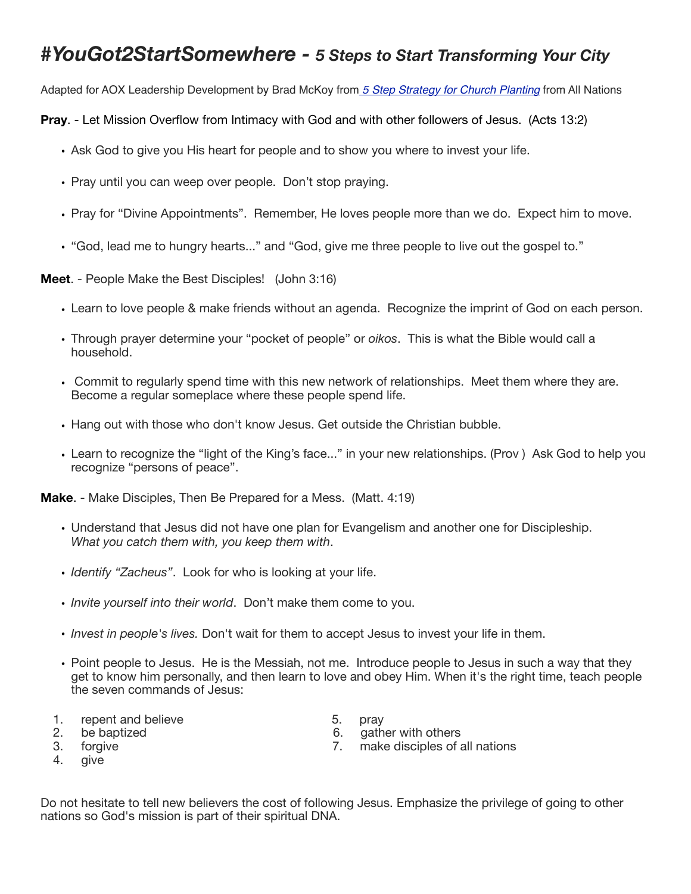## *#YouGot2StartSomewhere - 5 Steps to Start Transforming Your City*

Adapted for AOX Leadership Development by Brad McKoy from *[5 Step Strategy for Church Planting](http://livepage.apple.com/)* from All Nations

**Pray**. - Let Mission Overflow from Intimacy with God and with other followers of Jesus. (Acts 13:2)

- Ask God to give you His heart for people and to show you where to invest your life.
- Pray until you can weep over people. Don't stop praying.
- Pray for "Divine Appointments". Remember, He loves people more than we do. Expect him to move.
- "God, lead me to hungry hearts..." and "God, give me three people to live out the gospel to."

**Meet**. - People Make the Best Disciples! (John 3:16)

- Learn to love people & make friends without an agenda. Recognize the imprint of God on each person.
- Through prayer determine your "pocket of people" or *oikos*. This is what the Bible would call a household.
- Commit to regularly spend time with this new network of relationships. Meet them where they are. Become a regular someplace where these people spend life.
- Hang out with those who don't know Jesus. Get outside the Christian bubble.
- Learn to recognize the "light of the King's face..." in your new relationships. (Prov ) Ask God to help you recognize "persons of peace".

**Make**. - Make Disciples, Then Be Prepared for a Mess. (Matt. 4:19)

- Understand that Jesus did not have one plan for Evangelism and another one for Discipleship. *What you catch them with, you keep them with*.
- *Identify "Zacheus"*. Look for who is looking at your life.
- *Invite yourself into their world*. Don't make them come to you.
- *Invest in people's lives.* Don't wait for them to accept Jesus to invest your life in them.
- Point people to Jesus. He is the Messiah, not me. Introduce people to Jesus in such a way that they get to know him personally, and then learn to love and obey Him. When it's the right time, teach people the seven commands of Jesus:
- 1. repent and believe 5. pray
- 
- 
- 
- 
- 2. be baptized 6. gather with others
- 3. forgive 7. make disciples of all nations
- 4. give

Do not hesitate to tell new believers the cost of following Jesus. Emphasize the privilege of going to other nations so God's mission is part of their spiritual DNA.